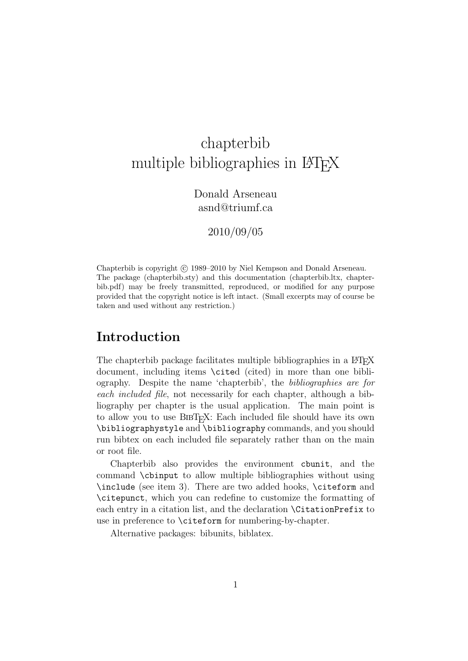# chapterbib multiple bibliographies in LAT<sub>EX</sub>

Donald Arseneau asnd@triumf.ca

2010/09/05

Chapterbib is copyright (c) 1989–2010 by Niel Kempson and Donald Arseneau. The package (chapterbib.sty) and this documentation (chapterbib.ltx, chapterbib.pdf) may be freely transmitted, reproduced, or modified for any purpose provided that the copyright notice is left intact. (Small excerpts may of course be taken and used without any restriction.)

## Introduction

The chapterbib package facilitates multiple bibliographies in a LAT<sub>EX</sub> document, including items \cited (cited) in more than one bibliography. Despite the name 'chapterbib', the bibliographies are for each included file, not necessarily for each chapter, although a bibliography per chapter is the usual application. The main point is to allow you to use  $BIBT_F X$ : Each included file should have its own \bibliographystyle and \bibliography commands, and you should run bibtex on each included file separately rather than on the main or root file.

Chapterbib also provides the environment cbunit, and the command \cbinput to allow multiple bibliographies without using \include (see item 3). There are two added hooks, \citeform and \citepunct, which you can redefine to customize the formatting of each entry in a citation list, and the declaration \CitationPrefix to use in preference to \citeform for numbering-by-chapter.

Alternative packages: bibunits, biblatex.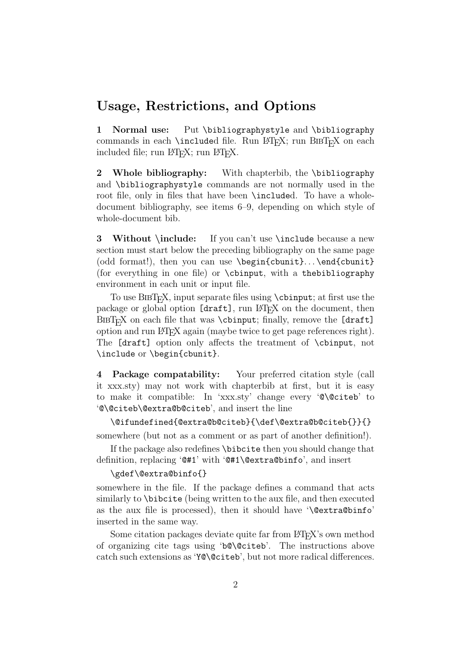### Usage, Restrictions, and Options

1 Normal use: Put \bibliographystyle and \bibliography commands in each  $\in$  Run LATEX; run BIBTEX on each included file; run LAT<sub>F</sub>X; run LAT<sub>F</sub>X.

2 Whole bibliography: With chapterbib, the \bibliography and \bibliographystyle commands are not normally used in the root file, only in files that have been \included. To have a wholedocument bibliography, see items 6–9, depending on which style of whole-document bib.

3 Without \include: If you can't use \include because a new section must start below the preceding bibliography on the same page (odd format!), then you can use \begin{cbunit}. . . \end{cbunit} (for everything in one file) or \cbinput, with a thebibliography environment in each unit or input file.

To use  $BIBT<sub>E</sub>X$ , input separate files using  $\ch$ input; at first use the package or global option [draft], run L<sup>AT</sup>EX on the document, then BIBT<sub>E</sub>X on each file that was \cbinput; finally, remove the [draft] option and run LATEX again (maybe twice to get page references right). The [draft] option only affects the treatment of \cbinput, not \include or \begin{cbunit}.

4 Package compatability: Your preferred citation style (call it xxx.sty) may not work with chapterbib at first, but it is easy to make it compatible: In 'xxx.sty' change every '@\@citeb' to '@\@citeb\@extra@b@citeb', and insert the line

\@ifundefined{@extra@b@citeb}{\def\@extra@b@citeb{}}{}

somewhere (but not as a comment or as part of another definition!).

If the package also redefines \bibcite then you should change that definition, replacing '@#1' with '@#1\@extra@binfo', and insert

#### \gdef\@extra@binfo{}

somewhere in the file. If the package defines a command that acts similarly to \bibcite (being written to the aux file, and then executed as the aux file is processed), then it should have '\@extra@binfo' inserted in the same way.

Some citation packages deviate quite far from LAT<sub>EX</sub>'s own method of organizing cite tags using 'b@\@citeb'. The instructions above catch such extensions as 'Y@\@citeb', but not more radical differences.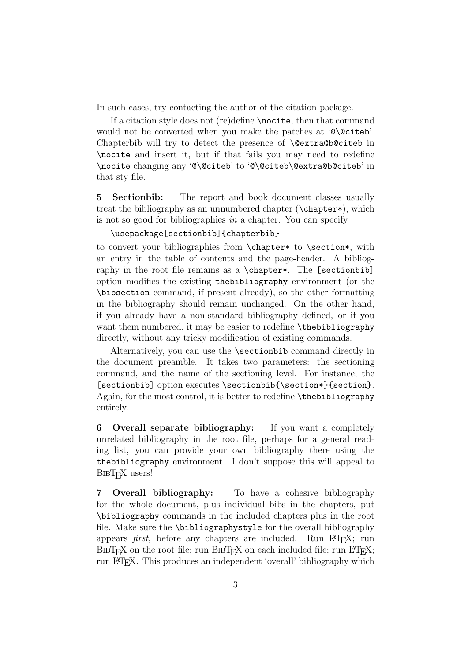In such cases, try contacting the author of the citation package.

If a citation style does not (re)define \nocite, then that command would not be converted when you make the patches at '@\@citeb'. Chapterbib will try to detect the presence of \@extra@b@citeb in \nocite and insert it, but if that fails you may need to redefine \nocite changing any '@\@citeb' to '@\@citeb\@extra@b@citeb' in that sty file.

5 Sectionbib: The report and book document classes usually treat the bibliography as an unnumbered chapter (\chapter\*), which is not so good for bibliographies in a chapter. You can specify

#### \usepackage[sectionbib]{chapterbib}

to convert your bibliographies from \chapter\* to \section\*, with an entry in the table of contents and the page-header. A bibliography in the root file remains as a \chapter\*. The [sectionbib] option modifies the existing thebibliography environment (or the \bibsection command, if present already), so the other formatting in the bibliography should remain unchanged. On the other hand, if you already have a non-standard bibliography defined, or if you want them numbered, it may be easier to redefine \thebibliography directly, without any tricky modification of existing commands.

Alternatively, you can use the \sectionbib command directly in the document preamble. It takes two parameters: the sectioning command, and the name of the sectioning level. For instance, the [sectionbib] option executes \sectionbib{\section\*}{section}. Again, for the most control, it is better to redefine \thebibliography entirely.

6 Overall separate bibliography: If you want a completely unrelated bibliography in the root file, perhaps for a general reading list, you can provide your own bibliography there using the thebibliography environment. I don't suppose this will appeal to BIBT<sub>F</sub>X users!

7 Overall bibliography: To have a cohesive bibliography for the whole document, plus individual bibs in the chapters, put \bibliography commands in the included chapters plus in the root file. Make sure the \bibliographystyle for the overall bibliography appears *first*, before any chapters are included. Run L<sup>AT</sup>FX; run  $BIBT<sub>F</sub>X$  on the root file; run  $BIBT<sub>F</sub>X$  on each included file; run  $BTRX$ ; run LATEX. This produces an independent 'overall' bibliography which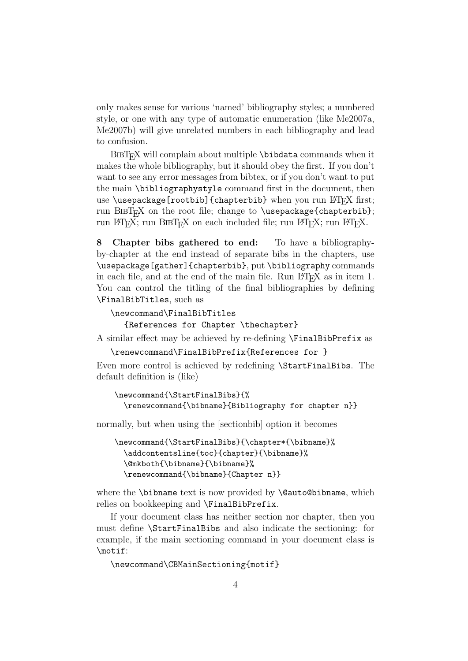only makes sense for various 'named' bibliography styles; a numbered style, or one with any type of automatic enumeration (like Me2007a, Me2007b) will give unrelated numbers in each bibliography and lead to confusion.

 $BIBT<sub>F</sub>X$  will complain about multiple  $\boldsymbol{\lambda}$  bibdata commands when it makes the whole bibliography, but it should obey the first. If you don't want to see any error messages from bibtex, or if you don't want to put the main \bibliographystyle command first in the document, then use \usepackage[rootbib]{chapterbib} when you run  $\mathbb{F}[\mathbb{R}]$  first; run BIBT<sub>E</sub>X on the root file; change to \usepackage{chapterbib}; run LAT<sub>E</sub>X; run BIBT<sub>E</sub>X on each included file; run LATEX; run LATEX.

8 Chapter bibs gathered to end: To have a bibliographyby-chapter at the end instead of separate bibs in the chapters, use \usepackage[gather]{chapterbib}, put \bibliography commands in each file, and at the end of the main file. Run LAT<sub>EX</sub> as in item 1. You can control the titling of the final bibliographies by defining \FinalBibTitles, such as

```
\newcommand\FinalBibTitles
```
{References for Chapter \thechapter}

A similar effect may be achieved by re-defining \FinalBibPrefix as

```
\renewcommand\FinalBibPrefix{References for }
```
Even more control is achieved by redefining \StartFinalBibs. The default definition is (like)

```
\newcommand{\StartFinalBibs}{%
  \renewcommand{\bibname}{Bibliography for chapter n}}
```
normally, but when using the [sectionbib] option it becomes

```
\newcommand{\StartFinalBibs}{\chapter*{\bibname}%
  \addcontentsline{toc}{chapter}{\bibname}%
 \@mkboth{\bibname}{\bibname}%
 \renewcommand{\bibname}{Chapter n}}
```
where the **\bibname** text is now provided by **\@auto@bibname**, which relies on bookkeeping and \FinalBibPrefix.

If your document class has neither section nor chapter, then you must define \StartFinalBibs and also indicate the sectioning: for example, if the main sectioning command in your document class is \motif:

\newcommand\CBMainSectioning{motif}